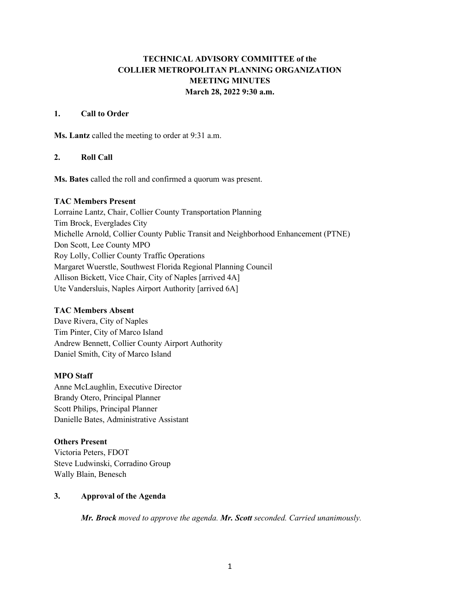# **TECHNICAL ADVISORY COMMITTEE of the COLLIER METROPOLITAN PLANNING ORGANIZATION MEETING MINUTES March 28, 2022 9:30 a.m.**

## **1. Call to Order**

**Ms. Lantz** called the meeting to order at 9:31 a.m.

## **2. Roll Call**

**Ms. Bates** called the roll and confirmed a quorum was present.

## **TAC Members Present**

Lorraine Lantz, Chair, Collier County Transportation Planning Tim Brock, Everglades City Michelle Arnold, Collier County Public Transit and Neighborhood Enhancement (PTNE) Don Scott, Lee County MPO Roy Lolly, Collier County Traffic Operations Margaret Wuerstle, Southwest Florida Regional Planning Council Allison Bickett, Vice Chair, City of Naples [arrived 4A] Ute Vandersluis, Naples Airport Authority [arrived 6A]

## **TAC Members Absent**

Dave Rivera, City of Naples Tim Pinter, City of Marco Island Andrew Bennett, Collier County Airport Authority Daniel Smith, City of Marco Island

# **MPO Staff**

Anne McLaughlin, Executive Director Brandy Otero, Principal Planner Scott Philips, Principal Planner Danielle Bates, Administrative Assistant

## **Others Present**

Victoria Peters, FDOT Steve Ludwinski, Corradino Group Wally Blain, Benesch

## **3. Approval of the Agenda**

*Mr. Brock moved to approve the agenda. Mr. Scott seconded. Carried unanimously.*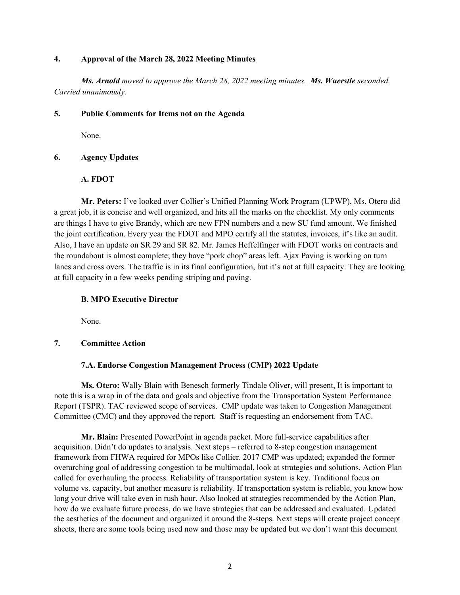### **4. Approval of the March 28, 2022 Meeting Minutes**

*Ms. Arnold moved to approve the March 28, 2022 meeting minutes. Ms. Wuerstle seconded. Carried unanimously.*

### **5. Public Comments for Items not on the Agenda**

None.

## **6. Agency Updates**

## **A. FDOT**

**Mr. Peters:** I've looked over Collier's Unified Planning Work Program (UPWP), Ms. Otero did a great job, it is concise and well organized, and hits all the marks on the checklist. My only comments are things I have to give Brandy, which are new FPN numbers and a new SU fund amount. We finished the joint certification. Every year the FDOT and MPO certify all the statutes, invoices, it's like an audit. Also, I have an update on SR 29 and SR 82. Mr. James Heffelfinger with FDOT works on contracts and the roundabout is almost complete; they have "pork chop" areas left. Ajax Paving is working on turn lanes and cross overs. The traffic is in its final configuration, but it's not at full capacity. They are looking at full capacity in a few weeks pending striping and paving.

### **B. MPO Executive Director**

None.

## **7. Committee Action**

## **7.A. Endorse Congestion Management Process (CMP) 2022 Update**

**Ms. Otero:** Wally Blain with Benesch formerly Tindale Oliver, will present, It is important to note this is a wrap in of the data and goals and objective from the Transportation System Performance Report (TSPR). TAC reviewed scope of services. CMP update was taken to Congestion Management Committee (CMC) and they approved the report. Staff is requesting an endorsement from TAC.

**Mr. Blain:** Presented PowerPoint in agenda packet. More full-service capabilities after acquisition. Didn't do updates to analysis. Next steps – referred to 8-step congestion management framework from FHWA required for MPOs like Collier. 2017 CMP was updated; expanded the former overarching goal of addressing congestion to be multimodal, look at strategies and solutions. Action Plan called for overhauling the process. Reliability of transportation system is key. Traditional focus on volume vs. capacity, but another measure is reliability. If transportation system is reliable, you know how long your drive will take even in rush hour. Also looked at strategies recommended by the Action Plan, how do we evaluate future process, do we have strategies that can be addressed and evaluated. Updated the aesthetics of the document and organized it around the 8-steps. Next steps will create project concept sheets, there are some tools being used now and those may be updated but we don't want this document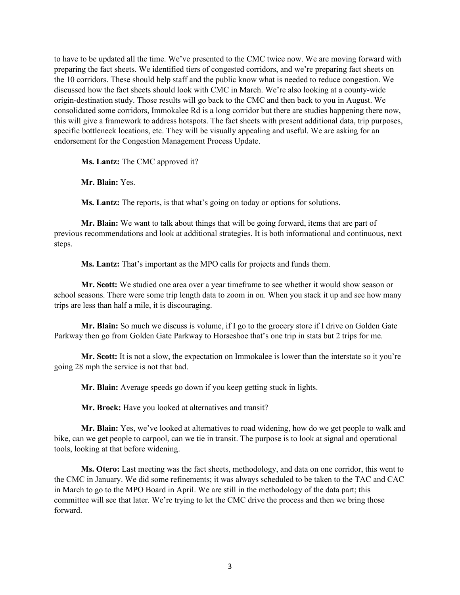to have to be updated all the time. We've presented to the CMC twice now. We are moving forward with preparing the fact sheets. We identified tiers of congested corridors, and we're preparing fact sheets on the 10 corridors. These should help staff and the public know what is needed to reduce congestion. We discussed how the fact sheets should look with CMC in March. We're also looking at a county-wide origin-destination study. Those results will go back to the CMC and then back to you in August. We consolidated some corridors, Immokalee Rd is a long corridor but there are studies happening there now, this will give a framework to address hotspots. The fact sheets with present additional data, trip purposes, specific bottleneck locations, etc. They will be visually appealing and useful. We are asking for an endorsement for the Congestion Management Process Update.

**Ms. Lantz:** The CMC approved it?

**Mr. Blain:** Yes.

**Ms. Lantz:** The reports, is that what's going on today or options for solutions.

**Mr. Blain:** We want to talk about things that will be going forward, items that are part of previous recommendations and look at additional strategies. It is both informational and continuous, next steps.

**Ms. Lantz:** That's important as the MPO calls for projects and funds them.

**Mr. Scott:** We studied one area over a year timeframe to see whether it would show season or school seasons. There were some trip length data to zoom in on. When you stack it up and see how many trips are less than half a mile, it is discouraging.

**Mr. Blain:** So much we discuss is volume, if I go to the grocery store if I drive on Golden Gate Parkway then go from Golden Gate Parkway to Horseshoe that's one trip in stats but 2 trips for me.

**Mr. Scott:** It is not a slow, the expectation on Immokalee is lower than the interstate so it you're going 28 mph the service is not that bad.

**Mr. Blain:** Average speeds go down if you keep getting stuck in lights.

**Mr. Brock:** Have you looked at alternatives and transit?

**Mr. Blain:** Yes, we've looked at alternatives to road widening, how do we get people to walk and bike, can we get people to carpool, can we tie in transit. The purpose is to look at signal and operational tools, looking at that before widening.

**Ms. Otero:** Last meeting was the fact sheets, methodology, and data on one corridor, this went to the CMC in January. We did some refinements; it was always scheduled to be taken to the TAC and CAC in March to go to the MPO Board in April. We are still in the methodology of the data part; this committee will see that later. We're trying to let the CMC drive the process and then we bring those forward.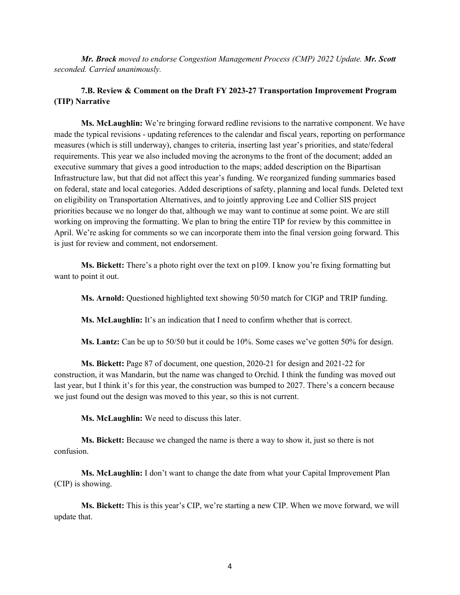*Mr. Brock moved to endorse Congestion Management Process (CMP) 2022 Update. Mr. Scott seconded. Carried unanimously.*

## **7.B. Review & Comment on the Draft FY 2023-27 Transportation Improvement Program (TIP) Narrative**

**Ms. McLaughlin:** We're bringing forward redline revisions to the narrative component. We have made the typical revisions - updating references to the calendar and fiscal years, reporting on performance measures (which is still underway), changes to criteria, inserting last year's priorities, and state/federal requirements. This year we also included moving the acronyms to the front of the document; added an executive summary that gives a good introduction to the maps; added description on the Bipartisan Infrastructure law, but that did not affect this year's funding. We reorganized funding summaries based on federal, state and local categories. Added descriptions of safety, planning and local funds. Deleted text on eligibility on Transportation Alternatives, and to jointly approving Lee and Collier SIS project priorities because we no longer do that, although we may want to continue at some point. We are still working on improving the formatting. We plan to bring the entire TIP for review by this committee in April. We're asking for comments so we can incorporate them into the final version going forward. This is just for review and comment, not endorsement.

**Ms. Bickett:** There's a photo right over the text on p109. I know you're fixing formatting but want to point it out.

**Ms. Arnold:** Questioned highlighted text showing 50/50 match for CIGP and TRIP funding.

**Ms. McLaughlin:** It's an indication that I need to confirm whether that is correct.

**Ms. Lantz:** Can be up to 50/50 but it could be 10%. Some cases we've gotten 50% for design.

**Ms. Bickett:** Page 87 of document, one question, 2020-21 for design and 2021-22 for construction, it was Mandarin, but the name was changed to Orchid. I think the funding was moved out last year, but I think it's for this year, the construction was bumped to 2027. There's a concern because we just found out the design was moved to this year, so this is not current.

**Ms. McLaughlin:** We need to discuss this later.

**Ms. Bickett:** Because we changed the name is there a way to show it, just so there is not confusion.

**Ms. McLaughlin:** I don't want to change the date from what your Capital Improvement Plan (CIP) is showing.

**Ms. Bickett:** This is this year's CIP, we're starting a new CIP. When we move forward, we will update that.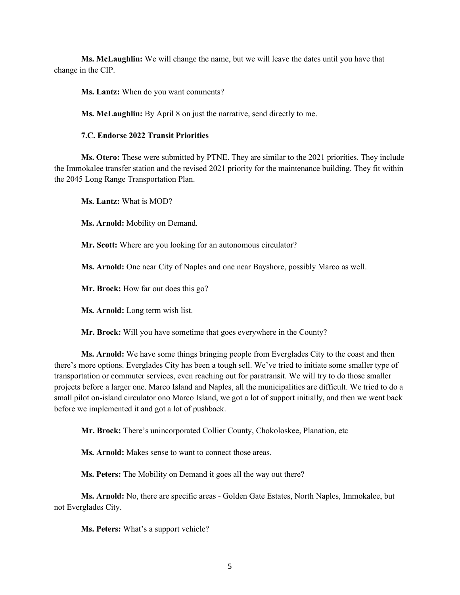**Ms. McLaughlin:** We will change the name, but we will leave the dates until you have that change in the CIP.

**Ms. Lantz:** When do you want comments?

**Ms. McLaughlin:** By April 8 on just the narrative, send directly to me.

#### **7.C. Endorse 2022 Transit Priorities**

**Ms. Otero:** These were submitted by PTNE. They are similar to the 2021 priorities. They include the Immokalee transfer station and the revised 2021 priority for the maintenance building. They fit within the 2045 Long Range Transportation Plan.

**Ms. Lantz:** What is MOD?

**Ms. Arnold:** Mobility on Demand.

**Mr. Scott:** Where are you looking for an autonomous circulator?

**Ms. Arnold:** One near City of Naples and one near Bayshore, possibly Marco as well.

**Mr. Brock:** How far out does this go?

**Ms. Arnold:** Long term wish list.

**Mr. Brock:** Will you have sometime that goes everywhere in the County?

**Ms. Arnold:** We have some things bringing people from Everglades City to the coast and then there's more options. Everglades City has been a tough sell. We've tried to initiate some smaller type of transportation or commuter services, even reaching out for paratransit. We will try to do those smaller projects before a larger one. Marco Island and Naples, all the municipalities are difficult. We tried to do a small pilot on-island circulator ono Marco Island, we got a lot of support initially, and then we went back before we implemented it and got a lot of pushback.

**Mr. Brock:** There's unincorporated Collier County, Chokoloskee, Planation, etc

**Ms. Arnold:** Makes sense to want to connect those areas.

**Ms. Peters:** The Mobility on Demand it goes all the way out there?

**Ms. Arnold:** No, there are specific areas - Golden Gate Estates, North Naples, Immokalee, but not Everglades City.

**Ms. Peters:** What's a support vehicle?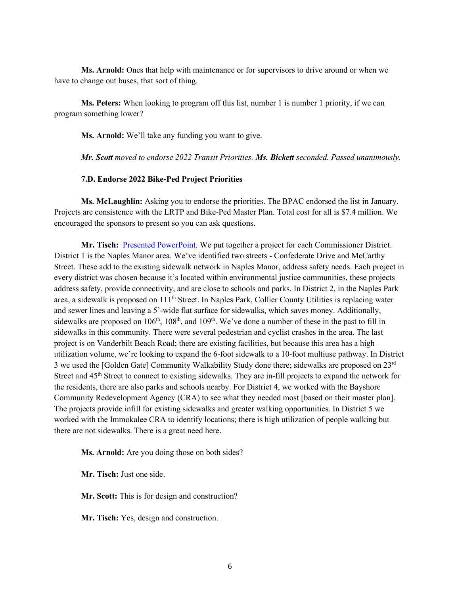**Ms. Arnold:** Ones that help with maintenance or for supervisors to drive around or when we have to change out buses, that sort of thing.

**Ms. Peters:** When looking to program off this list, number 1 is number 1 priority, if we can program something lower?

**Ms. Arnold:** We'll take any funding you want to give.

*Mr. Scott moved to endorse 2022 Transit Priorities. Ms. Bickett seconded. Passed unanimously.*

#### **7.D. Endorse 2022 Bike-Ped Project Priorities**

**Ms. McLaughlin:** Asking you to endorse the priorities. The BPAC endorsed the list in January. Projects are consistence with the LRTP and Bike-Ped Master Plan. Total cost for all is \$7.4 million. We encouraged the sponsors to present so you can ask questions.

**Mr. Tisch:** [Presented PowerPoint.](https://www.colliermpo.org/wp-content/uploads/2022/03/MPO-BPAC-FDOT-Bike-Ped-FY27-Project-Presentation-Recommendations.pdf) We put together a project for each Commissioner District. District 1 is the Naples Manor area. We've identified two streets - Confederate Drive and McCarthy Street. These add to the existing sidewalk network in Naples Manor, address safety needs. Each project in every district was chosen because it's located within environmental justice communities, these projects address safety, provide connectivity, and are close to schools and parks. In District 2, in the Naples Park area, a sidewalk is proposed on 111th Street. In Naples Park, Collier County Utilities is replacing water and sewer lines and leaving a 5'-wide flat surface for sidewalks, which saves money. Additionally, sidewalks are proposed on 106<sup>th</sup>, 108<sup>th</sup>, and 109<sup>th</sup>. We've done a number of these in the past to fill in sidewalks in this community. There were several pedestrian and cyclist crashes in the area. The last project is on Vanderbilt Beach Road; there are existing facilities, but because this area has a high utilization volume, we're looking to expand the 6-foot sidewalk to a 10-foot multiuse pathway. In District 3 we used the [Golden Gate] Community Walkability Study done there; sidewalks are proposed on 23rd Street and 45<sup>th</sup> Street to connect to existing sidewalks. They are in-fill projects to expand the network for the residents, there are also parks and schools nearby. For District 4, we worked with the Bayshore Community Redevelopment Agency (CRA) to see what they needed most [based on their master plan]. The projects provide infill for existing sidewalks and greater walking opportunities. In District 5 we worked with the Immokalee CRA to identify locations; there is high utilization of people walking but there are not sidewalks. There is a great need here.

**Ms. Arnold:** Are you doing those on both sides?

**Mr. Tisch:** Just one side.

**Mr. Scott:** This is for design and construction?

**Mr. Tisch:** Yes, design and construction.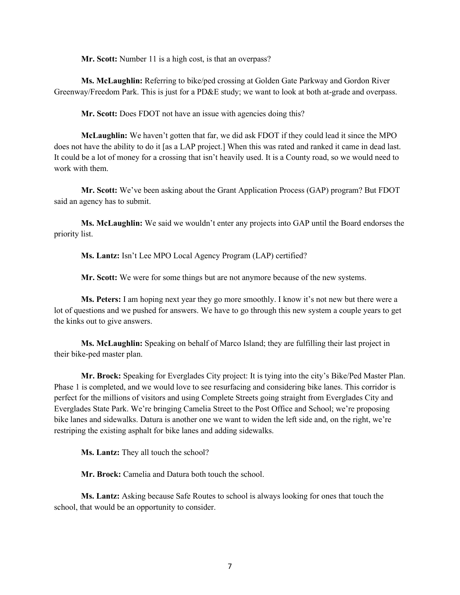**Mr. Scott:** Number 11 is a high cost, is that an overpass?

**Ms. McLaughlin:** Referring to bike/ped crossing at Golden Gate Parkway and Gordon River Greenway/Freedom Park. This is just for a PD&E study; we want to look at both at-grade and overpass.

**Mr. Scott:** Does FDOT not have an issue with agencies doing this?

**McLaughlin:** We haven't gotten that far, we did ask FDOT if they could lead it since the MPO does not have the ability to do it [as a LAP project.] When this was rated and ranked it came in dead last. It could be a lot of money for a crossing that isn't heavily used. It is a County road, so we would need to work with them.

**Mr. Scott:** We've been asking about the Grant Application Process (GAP) program? But FDOT said an agency has to submit.

**Ms. McLaughlin:** We said we wouldn't enter any projects into GAP until the Board endorses the priority list.

**Ms. Lantz:** Isn't Lee MPO Local Agency Program (LAP) certified?

**Mr. Scott:** We were for some things but are not anymore because of the new systems.

**Ms. Peters:** I am hoping next year they go more smoothly. I know it's not new but there were a lot of questions and we pushed for answers. We have to go through this new system a couple years to get the kinks out to give answers.

**Ms. McLaughlin:** Speaking on behalf of Marco Island; they are fulfilling their last project in their bike-ped master plan.

**Mr. Brock:** Speaking for Everglades City project: It is tying into the city's Bike/Ped Master Plan. Phase 1 is completed, and we would love to see resurfacing and considering bike lanes. This corridor is perfect for the millions of visitors and using Complete Streets going straight from Everglades City and Everglades State Park. We're bringing Camelia Street to the Post Office and School; we're proposing bike lanes and sidewalks. Datura is another one we want to widen the left side and, on the right, we're restriping the existing asphalt for bike lanes and adding sidewalks.

**Ms. Lantz:** They all touch the school?

**Mr. Brock:** Camelia and Datura both touch the school.

**Ms. Lantz:** Asking because Safe Routes to school is always looking for ones that touch the school, that would be an opportunity to consider.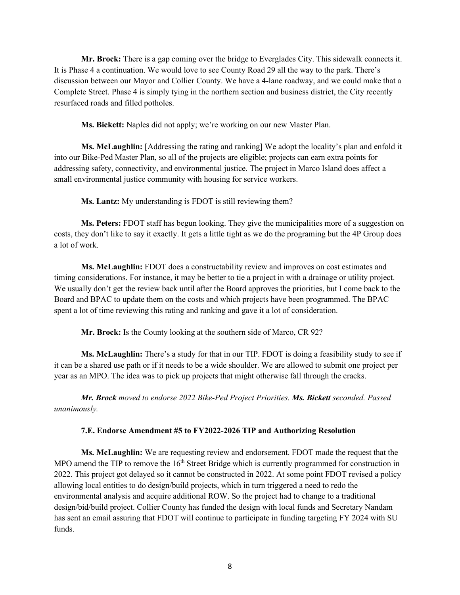**Mr. Brock:** There is a gap coming over the bridge to Everglades City. This sidewalk connects it. It is Phase 4 a continuation. We would love to see County Road 29 all the way to the park. There's discussion between our Mayor and Collier County. We have a 4-lane roadway, and we could make that a Complete Street. Phase 4 is simply tying in the northern section and business district, the City recently resurfaced roads and filled potholes.

**Ms. Bickett:** Naples did not apply; we're working on our new Master Plan.

**Ms. McLaughlin:** [Addressing the rating and ranking] We adopt the locality's plan and enfold it into our Bike-Ped Master Plan, so all of the projects are eligible; projects can earn extra points for addressing safety, connectivity, and environmental justice. The project in Marco Island does affect a small environmental justice community with housing for service workers.

**Ms. Lantz:** My understanding is FDOT is still reviewing them?

**Ms. Peters:** FDOT staff has begun looking. They give the municipalities more of a suggestion on costs, they don't like to say it exactly. It gets a little tight as we do the programing but the 4P Group does a lot of work.

**Ms. McLaughlin:** FDOT does a constructability review and improves on cost estimates and timing considerations. For instance, it may be better to tie a project in with a drainage or utility project. We usually don't get the review back until after the Board approves the priorities, but I come back to the Board and BPAC to update them on the costs and which projects have been programmed. The BPAC spent a lot of time reviewing this rating and ranking and gave it a lot of consideration.

**Mr. Brock:** Is the County looking at the southern side of Marco, CR 92?

**Ms. McLaughlin:** There's a study for that in our TIP. FDOT is doing a feasibility study to see if it can be a shared use path or if it needs to be a wide shoulder. We are allowed to submit one project per year as an MPO. The idea was to pick up projects that might otherwise fall through the cracks.

*Mr. Brock moved to endorse 2022 Bike-Ped Project Priorities. Ms. Bickett seconded. Passed unanimously.*

#### **7.E. Endorse Amendment #5 to FY2022-2026 TIP and Authorizing Resolution**

**Ms. McLaughlin:** We are requesting review and endorsement. FDOT made the request that the MPO amend the TIP to remove the 16<sup>th</sup> Street Bridge which is currently programmed for construction in 2022. This project got delayed so it cannot be constructed in 2022. At some point FDOT revised a policy allowing local entities to do design/build projects, which in turn triggered a need to redo the environmental analysis and acquire additional ROW. So the project had to change to a traditional design/bid/build project. Collier County has funded the design with local funds and Secretary Nandam has sent an email assuring that FDOT will continue to participate in funding targeting FY 2024 with SU funds.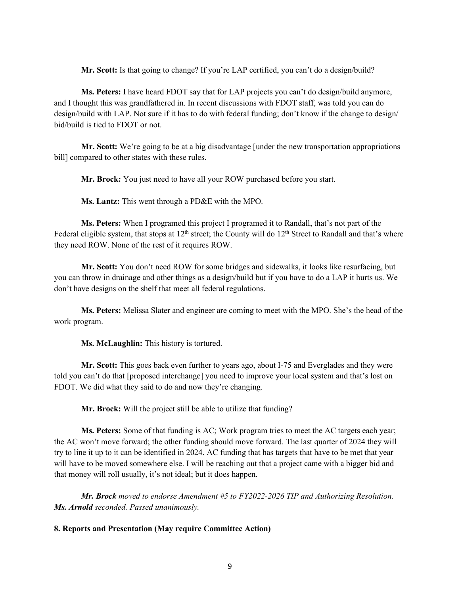**Mr. Scott:** Is that going to change? If you're LAP certified, you can't do a design/build?

**Ms. Peters:** I have heard FDOT say that for LAP projects you can't do design/build anymore, and I thought this was grandfathered in. In recent discussions with FDOT staff, was told you can do design/build with LAP. Not sure if it has to do with federal funding; don't know if the change to design/ bid/build is tied to FDOT or not.

**Mr. Scott:** We're going to be at a big disadvantage [under the new transportation appropriations bill] compared to other states with these rules.

**Mr. Brock:** You just need to have all your ROW purchased before you start.

**Ms. Lantz:** This went through a PD&E with the MPO.

**Ms. Peters:** When I programed this project I programed it to Randall, that's not part of the Federal eligible system, that stops at  $12<sup>th</sup>$  street; the County will do  $12<sup>th</sup>$  Street to Randall and that's where they need ROW. None of the rest of it requires ROW.

**Mr. Scott:** You don't need ROW for some bridges and sidewalks, it looks like resurfacing, but you can throw in drainage and other things as a design/build but if you have to do a LAP it hurts us. We don't have designs on the shelf that meet all federal regulations.

**Ms. Peters:** Melissa Slater and engineer are coming to meet with the MPO. She's the head of the work program.

**Ms. McLaughlin:** This history is tortured.

**Mr. Scott:** This goes back even further to years ago, about I-75 and Everglades and they were told you can't do that [proposed interchange] you need to improve your local system and that's lost on FDOT. We did what they said to do and now they're changing.

**Mr. Brock:** Will the project still be able to utilize that funding?

**Ms. Peters:** Some of that funding is AC; Work program tries to meet the AC targets each year; the AC won't move forward; the other funding should move forward. The last quarter of 2024 they will try to line it up to it can be identified in 2024. AC funding that has targets that have to be met that year will have to be moved somewhere else. I will be reaching out that a project came with a bigger bid and that money will roll usually, it's not ideal; but it does happen.

*Mr. Brock moved to endorse Amendment #5 to FY2022-2026 TIP and Authorizing Resolution. Ms. Arnold seconded. Passed unanimously.*

## **8. Reports and Presentation (May require Committee Action)**